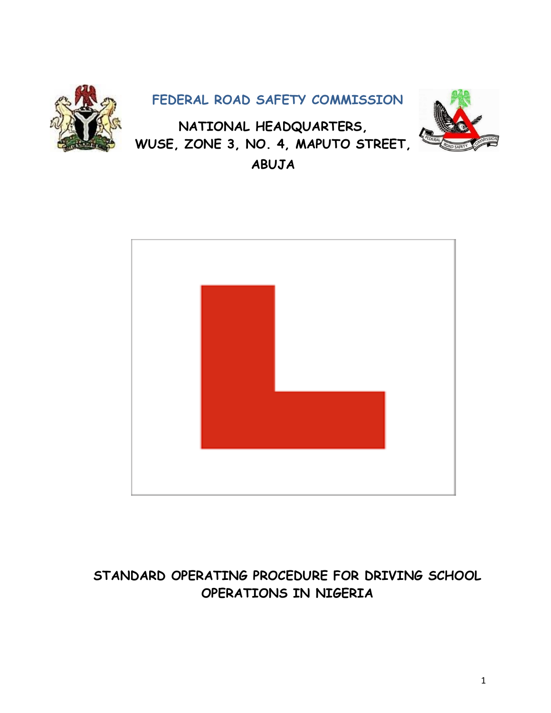

**ABUJA**



# **STANDARD OPERATING PROCEDURE FOR DRIVING SCHOOL OPERATIONS IN NIGERIA**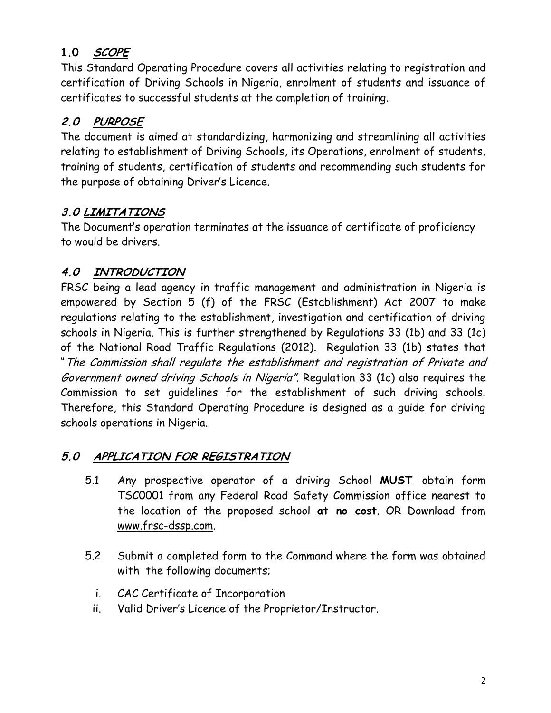# **1.0 SCOPE**

This Standard Operating Procedure covers all activities relating to registration and certification of Driving Schools in Nigeria, enrolment of students and issuance of certificates to successful students at the completion of training.

# **2.0 PURPOSE**

The document is aimed at standardizing, harmonizing and streamlining all activities relating to establishment of Driving Schools, its Operations, enrolment of students, training of students, certification of students and recommending such students for the purpose of obtaining Driver's Licence.

## **3.0 LIMITATIONS**

The Document's operation terminates at the issuance of certificate of proficiency to would be drivers.

# **4.0 INTRODUCTION**

FRSC being a lead agency in traffic management and administration in Nigeria is empowered by Section 5 (f) of the FRSC (Establishment) Act 2007 to make regulations relating to the establishment, investigation and certification of driving schools in Nigeria. This is further strengthened by Regulations 33 (1b) and 33 (1c) of the National Road Traffic Regulations (2012). Regulation 33 (1b) states that "The Commission shall regulate the establishment and registration of Private and Government owned driving Schools in Nigeria". Regulation 33 (1c) also requires the Commission to set guidelines for the establishment of such driving schools. Therefore, this Standard Operating Procedure is designed as a guide for driving schools operations in Nigeria.

## **5.0 APPLICATION FOR REGISTRATION**

- 5.1 Any prospective operator of a driving School **MUST** obtain form TSC0001 from any Federal Road Safety Commission office nearest to the location of the proposed school **at no cost**. OR Download from [www.frsc-dssp.com.](http://www.frsc-dssp.com/)
- 5.2 Submit a completed form to the Command where the form was obtained with the following documents;
	- i. CAC Certificate of Incorporation
	- ii. Valid Driver's Licence of the Proprietor/Instructor.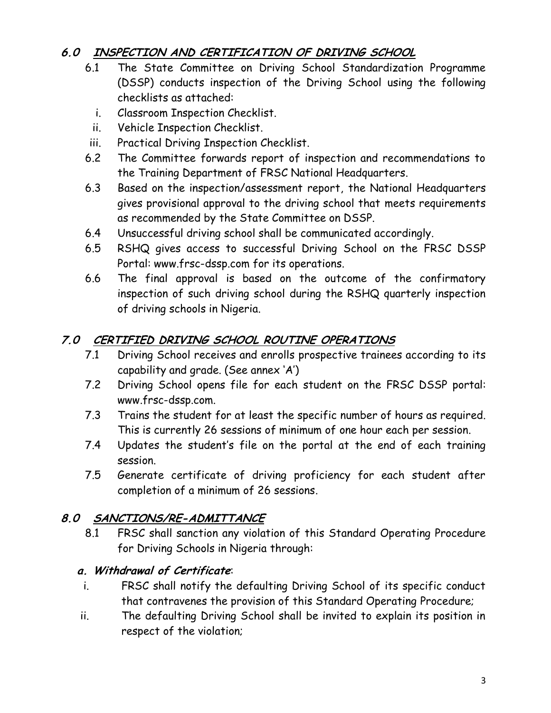## **6.0 INSPECTION AND CERTIFICATION OF DRIVING SCHOOL**

- 6.1 The State Committee on Driving School Standardization Programme (DSSP) conducts inspection of the Driving School using the following checklists as attached:
	- i. Classroom Inspection Checklist.
- ii. Vehicle Inspection Checklist.
- iii. Practical Driving Inspection Checklist.
- 6.2 The Committee forwards report of inspection and recommendations to the Training Department of FRSC National Headquarters.
- 6.3 Based on the inspection/assessment report, the National Headquarters gives provisional approval to the driving school that meets requirements as recommended by the State Committee on DSSP.
- 6.4 Unsuccessful driving school shall be communicated accordingly.
- 6.5 RSHQ gives access to successful Driving School on the FRSC DSSP Portal: www.frsc-dssp.com for its operations.
- 6.6 The final approval is based on the outcome of the confirmatory inspection of such driving school during the RSHQ quarterly inspection of driving schools in Nigeria.

## **7.0 CERTIFIED DRIVING SCHOOL ROUTINE OPERATIONS**

- 7.1 Driving School receives and enrolls prospective trainees according to its capability and grade. (See annex 'A')
- 7.2 Driving School opens file for each student on the FRSC DSSP portal: www.frsc-dssp.com.
- 7.3 Trains the student for at least the specific number of hours as required. This is currently 26 sessions of minimum of one hour each per session.
- 7.4 Updates the student's file on the portal at the end of each training session.
- 7.5 Generate certificate of driving proficiency for each student after completion of a minimum of 26 sessions.

## **8.0 SANCTIONS/RE-ADMITTANCE**

8.1 FRSC shall sanction any violation of this Standard Operating Procedure for Driving Schools in Nigeria through:

## **a. Withdrawal of Certificate**:

- i. FRSC shall notify the defaulting Driving School of its specific conduct that contravenes the provision of this Standard Operating Procedure;
- ii. The defaulting Driving School shall be invited to explain its position in respect of the violation;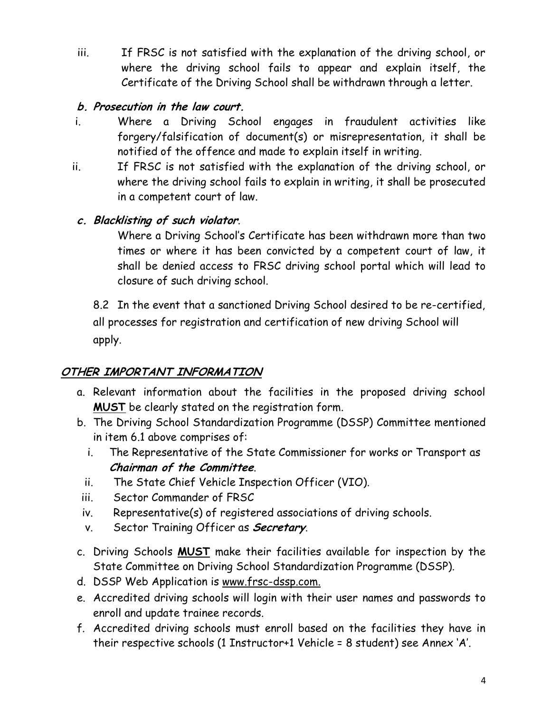iii. If FRSC is not satisfied with the explanation of the driving school, or where the driving school fails to appear and explain itself, the Certificate of the Driving School shall be withdrawn through a letter.

## **b. Prosecution in the law court.**

- i. Where a Driving School engages in fraudulent activities like forgery/falsification of document(s) or misrepresentation, it shall be notified of the offence and made to explain itself in writing.
- ii. If FRSC is not satisfied with the explanation of the driving school, or where the driving school fails to explain in writing, it shall be prosecuted in a competent court of law.

## **c. Blacklisting of such violator**.

Where a Driving School's Certificate has been withdrawn more than two times or where it has been convicted by a competent court of law, it shall be denied access to FRSC driving school portal which will lead to closure of such driving school.

8.2 In the event that a sanctioned Driving School desired to be re-certified, all processes for registration and certification of new driving School will apply.

## **OTHER IMPORTANT INFORMATION**

- a. Relevant information about the facilities in the proposed driving school **MUST** be clearly stated on the registration form.
- b. The Driving School Standardization Programme (DSSP) Committee mentioned in item 6.1 above comprises of:
	- i. The Representative of the State Commissioner for works or Transport as **Chairman of the Committee**.
	- ii. The State Chief Vehicle Inspection Officer (VIO).
- iii. Sector Commander of FRSC
- iv. Representative(s) of registered associations of driving schools.
- v. Sector Training Officer as **Secretary**.
- c. Driving Schools **MUST** make their facilities available for inspection by the State Committee on Driving School Standardization Programme (DSSP).
- d. DSSP Web Application is [www.frsc-dssp.com.](http://www.frsc-dssp.com/)
- e. Accredited driving schools will login with their user names and passwords to enroll and update trainee records.
- f. Accredited driving schools must enroll based on the facilities they have in their respective schools (1 Instructor+1 Vehicle = 8 student) see Annex 'A'.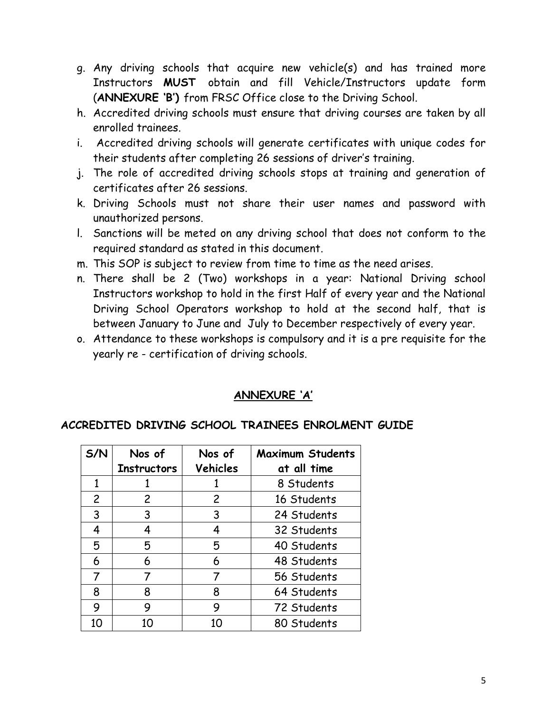- g. Any driving schools that acquire new vehicle(s) and has trained more Instructors **MUST** obtain and fill Vehicle/Instructors update form (**ANNEXURE 'B')** from FRSC Office close to the Driving School.
- h. Accredited driving schools must ensure that driving courses are taken by all enrolled trainees.
- i. Accredited driving schools will generate certificates with unique codes for their students after completing 26 sessions of driver's training.
- j. The role of accredited driving schools stops at training and generation of certificates after 26 sessions.
- k. Driving Schools must not share their user names and password with unauthorized persons.
- l. Sanctions will be meted on any driving school that does not conform to the required standard as stated in this document.
- m. This SOP is subject to review from time to time as the need arises.
- n. There shall be 2 (Two) workshops in a year: National Driving school Instructors workshop to hold in the first Half of every year and the National Driving School Operators workshop to hold at the second half, that is between January to June and July to December respectively of every year.
- o. Attendance to these workshops is compulsory and it is a pre requisite for the yearly re - certification of driving schools.

#### **ANNEXURE 'A'**

#### **ACCREDITED DRIVING SCHOOL TRAINEES ENROLMENT GUIDE**

| S/N            | Nos of             | Nos of         | <b>Maximum Students</b> |
|----------------|--------------------|----------------|-------------------------|
|                | <b>Instructors</b> | Vehicles       | at all time             |
| 1              |                    |                | 8 Students              |
| $\overline{c}$ | $\overline{2}$     | $\overline{2}$ | 16 Students             |
| 3              | 3                  | 3              | 24 Students             |
| 4              | 4                  | 4              | 32 Students             |
| 5              | 5                  | 5              | 40 Students             |
| 6              | 6                  | 6              | 48 Students             |
|                |                    |                | 56 Students             |
| 8              | 8                  | 8              | 64 Students             |
| 9              | 9                  | 9              | 72 Students             |
| 10             | 10                 | 10             | 80 Students             |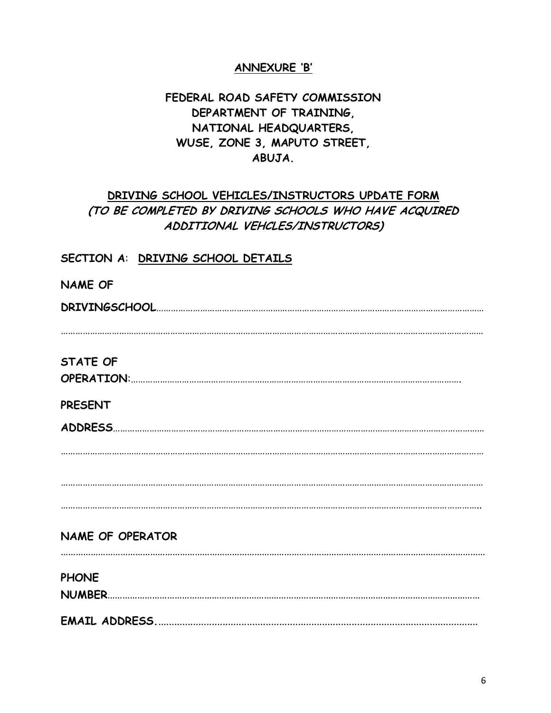#### **ANNEXURE 'B'**

#### **FEDERAL ROAD SAFETY COMMISSION DEPARTMENT OF TRAINING, NATIONAL HEADQUARTERS, WUSE, ZONE 3, MAPUTO STREET, ABUJA.**

## **DRIVING SCHOOL VEHICLES/INSTRUCTORS UPDATE FORM (TO BE COMPLETED BY DRIVING SCHOOLS WHO HAVE ACQUIRED ADDITIONAL VEHCLES/INSTRUCTORS)**

#### **SECTION A**: **DRIVING SCHOOL DETAILS**

| <b>NAME OF</b>          |
|-------------------------|
|                         |
|                         |
|                         |
| <b>STATE OF</b>         |
|                         |
| <b>PRESENT</b>          |
|                         |
|                         |
|                         |
|                         |
|                         |
|                         |
| <b>NAME OF OPERATOR</b> |
|                         |
| <b>PHONE</b>            |
|                         |
|                         |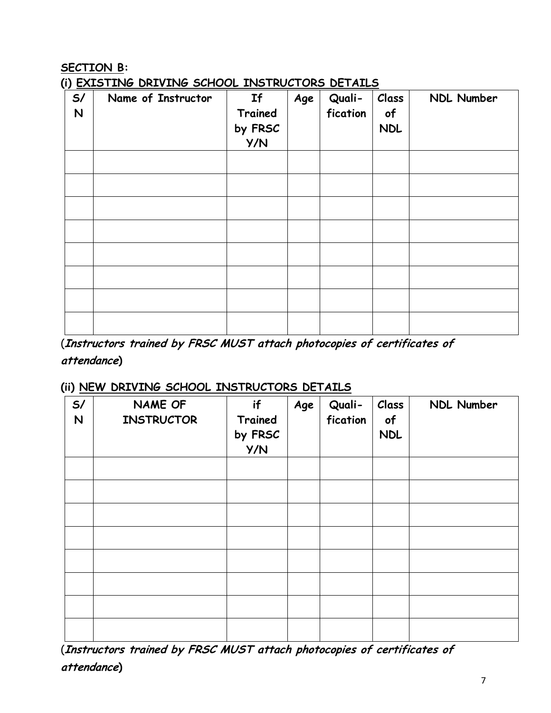## **SECTION B:**

**(i) EXISTING DRIVING SCHOOL INSTRUCTORS DETAILS**

| $\cdot$<br>S/<br>N | Name of Instructor | If<br>Trained<br>by FRSC<br>Y/N | Age | Quali-<br>fication | Class<br>of<br><b>NDL</b> | NDL Number |
|--------------------|--------------------|---------------------------------|-----|--------------------|---------------------------|------------|
|                    |                    |                                 |     |                    |                           |            |
|                    |                    |                                 |     |                    |                           |            |
|                    |                    |                                 |     |                    |                           |            |
|                    |                    |                                 |     |                    |                           |            |
|                    |                    |                                 |     |                    |                           |            |
|                    |                    |                                 |     |                    |                           |            |
|                    |                    |                                 |     |                    |                           |            |
|                    |                    |                                 |     |                    |                           |            |

(**Instructors trained by FRSC MUST attach photocopies of certificates of attendance)**

#### **(ii) NEW DRIVING SCHOOL INSTRUCTORS DETAILS**

| S/<br>$\mathsf{N}$ | NAME OF<br><b>INSTRUCTOR</b> | if<br>Trained<br>by FRSC<br>Y/N | Age | Quali-<br>fication | Class<br>of<br><b>NDL</b> | NDL Number |
|--------------------|------------------------------|---------------------------------|-----|--------------------|---------------------------|------------|
|                    |                              |                                 |     |                    |                           |            |
|                    |                              |                                 |     |                    |                           |            |
|                    |                              |                                 |     |                    |                           |            |
|                    |                              |                                 |     |                    |                           |            |
|                    |                              |                                 |     |                    |                           |            |
|                    |                              |                                 |     |                    |                           |            |
|                    |                              |                                 |     |                    |                           |            |
|                    |                              |                                 |     |                    |                           |            |

(**Instructors trained by FRSC MUST attach photocopies of certificates of attendance)**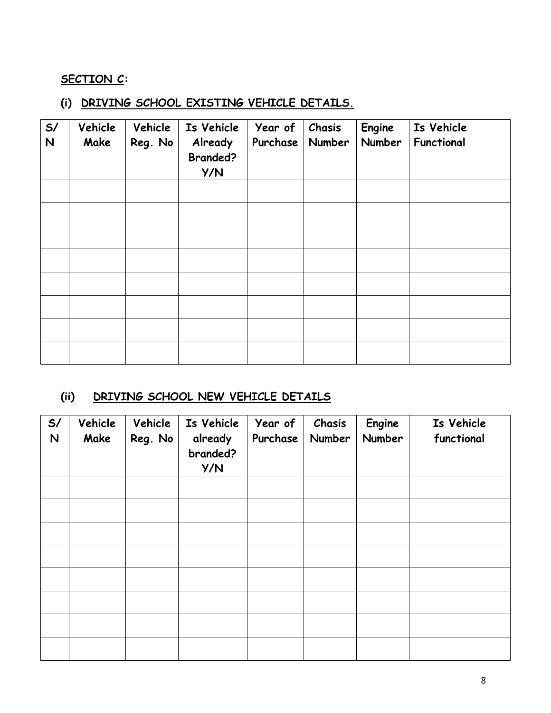#### **SECTION C:**

## **(i) DRIVING SCHOOL EXISTING VEHICLE DETAILS.**

| S/<br>$\mathsf{N}$ | Vehicle<br>Make | Vehicle<br>Reg. No | Is Vehicle<br>Already<br><b>Branded?</b><br>Y/N | Year of<br>Purchase | Chasis<br><b>Number</b> | Engine<br>Number | Is Vehicle<br>Functional |
|--------------------|-----------------|--------------------|-------------------------------------------------|---------------------|-------------------------|------------------|--------------------------|
|                    |                 |                    |                                                 |                     |                         |                  |                          |
|                    |                 |                    |                                                 |                     |                         |                  |                          |
|                    |                 |                    |                                                 |                     |                         |                  |                          |
|                    |                 |                    |                                                 |                     |                         |                  |                          |
|                    |                 |                    |                                                 |                     |                         |                  |                          |
|                    |                 |                    |                                                 |                     |                         |                  |                          |
|                    |                 |                    |                                                 |                     |                         |                  |                          |
|                    |                 |                    |                                                 |                     |                         |                  |                          |

#### **(ii) DRIVING SCHOOL NEW VEHICLE DETAILS**

| S/<br>$\mathsf{N}$ | Vehicle<br>Make | Vehicle<br>Reg. No | Is Vehicle<br>already<br>branded?<br>Y/N | Year of<br>Purchase | Chasis<br>Number | Engine<br>Number | Is Vehicle<br>functional |
|--------------------|-----------------|--------------------|------------------------------------------|---------------------|------------------|------------------|--------------------------|
|                    |                 |                    |                                          |                     |                  |                  |                          |
|                    |                 |                    |                                          |                     |                  |                  |                          |
|                    |                 |                    |                                          |                     |                  |                  |                          |
|                    |                 |                    |                                          |                     |                  |                  |                          |
|                    |                 |                    |                                          |                     |                  |                  |                          |
|                    |                 |                    |                                          |                     |                  |                  |                          |
|                    |                 |                    |                                          |                     |                  |                  |                          |
|                    |                 |                    |                                          |                     |                  |                  |                          |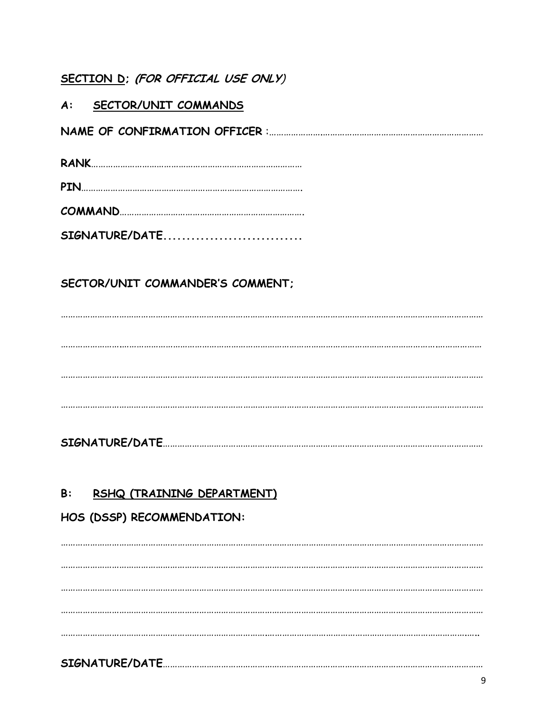## SECTION D; (FOR OFFICIAL USE ONLY)

#### A: SECTOR/UNIT COMMANDS

|--|

SIGNATURE/DATE..............................

## SECTOR/UNIT COMMANDER'S COMMENT:

#### $B:$ RSHQ (TRAINING DEPARTMENT)

## HOS (DSSP) RECOMMENDATION: